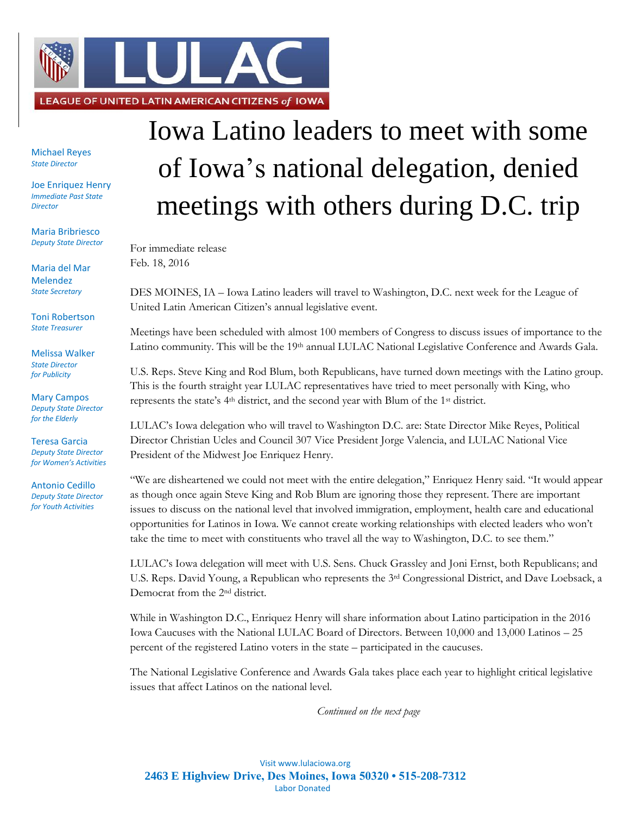

Michael Reyes *State Director*

Joe Enriquez Henry *Immediate Past State Director*

Maria Bribriesco *Deputy State Director*

Maria del Mar Melendez *State Secretary*

Toni Robertson *State Treasurer*

Melissa Walker *State Director for Publicity*

Mary Campos *Deputy State Director for the Elderly*

Teresa Garcia *Deputy State Director for Women's Activities*

Antonio Cedillo *Deputy State Director for Youth Activities*

## Iowa Latino leaders to meet with some of Iowa's national delegation, denied meetings with others during D.C. trip

For immediate release Feb. 18, 2016

DES MOINES, IA – Iowa Latino leaders will travel to Washington, D.C. next week for the League of United Latin American Citizen's annual legislative event.

Meetings have been scheduled with almost 100 members of Congress to discuss issues of importance to the Latino community. This will be the 19th annual LULAC National Legislative Conference and Awards Gala.

U.S. Reps. Steve King and Rod Blum, both Republicans, have turned down meetings with the Latino group. This is the fourth straight year LULAC representatives have tried to meet personally with King, who represents the state's 4th district, and the second year with Blum of the 1st district.

LULAC's Iowa delegation who will travel to Washington D.C. are: State Director Mike Reyes, Political Director Christian Ucles and Council 307 Vice President Jorge Valencia, and LULAC National Vice President of the Midwest Joe Enriquez Henry.

"We are disheartened we could not meet with the entire delegation," Enriquez Henry said. "It would appear as though once again Steve King and Rob Blum are ignoring those they represent. There are important issues to discuss on the national level that involved immigration, employment, health care and educational opportunities for Latinos in Iowa. We cannot create working relationships with elected leaders who won't take the time to meet with constituents who travel all the way to Washington, D.C. to see them."

LULAC's Iowa delegation will meet with U.S. Sens. Chuck Grassley and Joni Ernst, both Republicans; and U.S. Reps. David Young, a Republican who represents the 3rd Congressional District, and Dave Loebsack, a Democrat from the 2nd district.

While in Washington D.C., Enriquez Henry will share information about Latino participation in the 2016 Iowa Caucuses with the National LULAC Board of Directors. Between 10,000 and 13,000 Latinos – 25 percent of the registered Latino voters in the state – participated in the caucuses.

The National Legislative Conference and Awards Gala takes place each year to highlight critical legislative issues that affect Latinos on the national level.

*Continued on the next page*